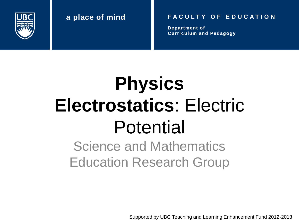

#### **a place of mind F A C U L T Y O F E D U C A T I O N**

**Department of Curriculum and Pedagogy**

# **Physics Electrostatics**: Electric Potential

Science and Mathematics Education Research Group

Supported by UBC Teaching and Learning Enhancement Fund 2012-2013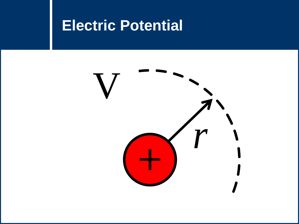### **Electric Potential**

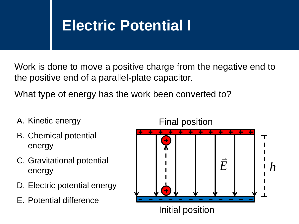### **Electric Potential I**

Work is done to move a positive charge from the negative end to the positive end of a parallel-plate capacitor.

What type of energy has the work been converted to?

- A. Kinetic energy
- B. Chemical potential energy
- C. Gravitational potential energy
- D. Electric potential energy
- E. Potential difference

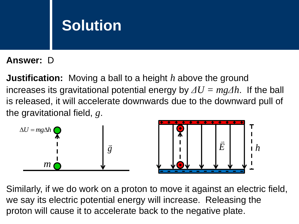#### **Answer:** D

**Justification:** Moving a ball to a height *h* above the ground increases its gravitational potential energy by *ΔU = mgΔh*. If the ball is released, it will accelerate downwards due to the downward pull of the gravitational field, *g*.



Similarly, if we do work on a proton to move it against an electric field, we say its electric potential energy will increase. Releasing the proton will cause it to accelerate back to the negative plate.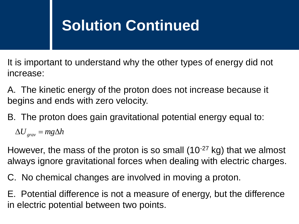### **Solution Continued**

It is important to understand why the other types of energy did not increase:

A. The kinetic energy of the proton does not increase because it begins and ends with zero velocity.

B. The proton does gain gravitational potential energy equal to:

 $\Delta U_{grav}^{\parallel} = mg\Delta h$ 

However, the mass of the proton is so small (10-27 kg) that we almost always ignore gravitational forces when dealing with electric charges.

C. No chemical changes are involved in moving a proton.

E. Potential difference is not a measure of energy, but the difference in electric potential between two points.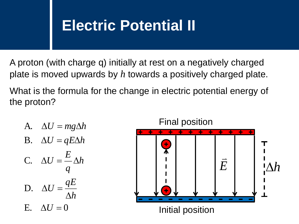#### **Electric Potential II**

A proton (with charge q) initially at rest on a negatively charged plate is moved upwards by *h* towards a positively charged plate.

What is the formula for the change in electric potential energy of the proton?

A. 
$$
\Delta U = mg\Delta h
$$
  
\nB.  $\Delta U = qE\Delta h$   
\nC.  $\Delta U = \frac{E}{q}\Delta h$   
\nD.  $\Delta U = \frac{qE}{\Delta h}$   
\nE.  $\Delta U = 0$ 

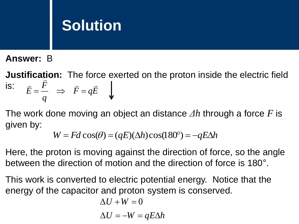**Answer:** B

**Justification:** The force exerted on the proton inside the electric field is:  $\bar{F}=q\bar{E}$ *q F E*  $\overline{F}$   $\overline{F}$   $\overline{F}$   $\overline{F}$   $\overline{F}$  $= \frac{I}{I} \Rightarrow \bar{F} =$ 

The work done moving an object an distance *Δh* through a force *F* is given by:

$$
W = Fd\cos(\theta) = (qE)(\Delta h)\cos(180^\circ) = -qE\Delta h
$$

Here, the proton is moving against the direction of force, so the angle between the direction of motion and the direction of force is 180°.

This work is converted to electric potential energy. Notice that the energy of the capacitor and proton system is conserved.

$$
\Delta U + W = 0
$$

$$
\Delta U = -W = qE\Delta h
$$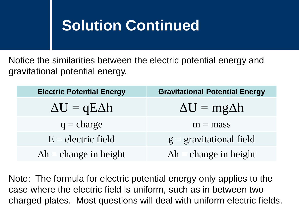### **Solution Continued**

Notice the similarities between the electric potential energy and gravitational potential energy.

| <b>Electric Potential Energy</b> | <b>Gravitational Potential Energy</b> |
|----------------------------------|---------------------------------------|
| $\Delta U = qE \Delta h$         | $\Delta U = mg\Delta h$               |
| $q = charge$                     | $m = mass$                            |
| $E =$ electric field             | $g =$ gravitational field             |
| $\Delta h =$ change in height    | $\Delta h =$ change in height         |

Note: The formula for electric potential energy only applies to the case where the electric field is uniform, such as in between two charged plates. Most questions will deal with uniform electric fields.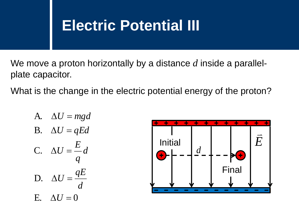### **Electric Potential III**

We move a proton horizontally by a distance *d* inside a parallelplate capacitor.

What is the change in the electric potential energy of the proton?

A. 
$$
\Delta U = mgd
$$
  
\nB.  $\Delta U = qEd$   
\nC.  $\Delta U = \frac{E}{q}d$   
\nD.  $\Delta U = \frac{qE}{d}$   
\nE.  $\Delta U = 0$ 

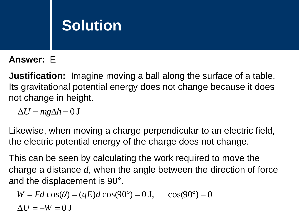#### **Answer:** E

**Justification:** Imagine moving a ball along the surface of a table. Its gravitational potential energy does not change because it does not change in height.

 $\Delta U = mg\Delta h = 0$  J

Likewise, when moving a charge perpendicular to an electric field, the electric potential energy of the charge does not change.

This can be seen by calculating the work required to move the charge a distance *d*, when the angle between the direction of force

and the displacement is 90°.  
\n
$$
W = Fd \cos(\theta) = (qE)d \cos(90^\circ) = 0 \text{ J}, \quad \cos(90^\circ) = 0
$$
\n
$$
\Delta U = -W = 0 \text{ J}
$$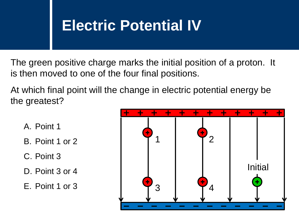### **Electric Potential IV**

The green positive charge marks the initial position of a proton. It is then moved to one of the four final positions.

At which final point will the change in electric potential energy be the greatest?

- A. Point 1
- B. Point 1 or 2
- C. Point 3
- D. Point 3 or 4
- E. Point 1 or 3

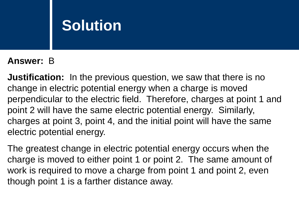#### **Answer:** B

**Justification:** In the previous question, we saw that there is no change in electric potential energy when a charge is moved perpendicular to the electric field. Therefore, charges at point 1 and point 2 will have the same electric potential energy. Similarly, charges at point 3, point 4, and the initial point will have the same electric potential energy.

The greatest change in electric potential energy occurs when the charge is moved to either point 1 or point 2. The same amount of work is required to move a charge from point 1 and point 2, even though point 1 is a farther distance away.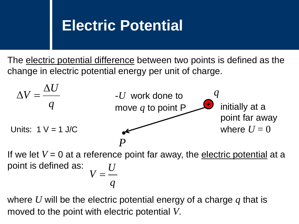#### **Electric Potential**

The electric potential difference between two points is defined as the change in electric potential energy per unit of charge.



where *U* will be the electric potential energy of a charge *q* that is moved to the point with electric potential *V*.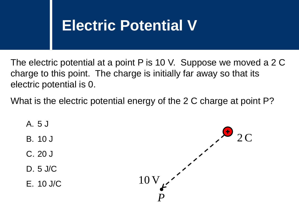### **Electric Potential V**

The electric potential at a point P is 10 V. Suppose we moved a 2 C charge to this point. The charge is initially far away so that its electric potential is 0.

What is the electric potential energy of the 2 C charge at point P?

- A. 5 J
- B. 10 J
- C. 20 J
- D. 5 J/C
- E. 10 J/C

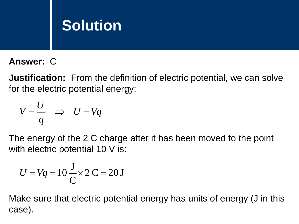**Answer:** C

**Justification:** From the definition of electric potential, we can solve for the electric potential energy:

$$
V = \frac{U}{q} \Rightarrow U = Vq
$$

The energy of the 2 C charge after it has been moved to the point with electric potential 10 V is:

$$
U = Vq = 10 \frac{J}{C} \times 2 C = 20 J
$$

Make sure that electric potential energy has units of energy (J in this case).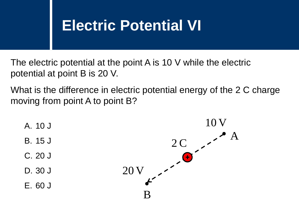### **Electric Potential VI**

The electric potential at the point A is 10 V while the electric potential at point B is 20 V.

What is the difference in electric potential energy of the 2 C charge moving from point A to point B?

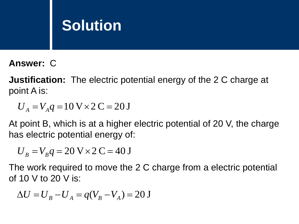#### **Answer:** C

**Justification:** The electric potential energy of the 2 C charge at point A is:

 $U_A = V_A q = 10$  V  $\times$  2 C = 20 J

At point B, which is at a higher electric potential of 20 V, the charge has electric potential energy of:

$$
U_B = V_B q = 20 V \times 2 C = 40 J
$$

The work required to move the 2 C charge from a electric potential of 10 V to 20 V is:

$$
\Delta U = U_B - U_A = q(V_B - V_A) = 20 \text{ J}
$$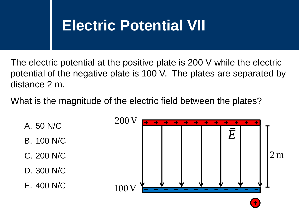### **Electric Potential VII**

The electric potential at the positive plate is 200 V while the electric potential of the negative plate is 100 V. The plates are separated by distance 2 m.

What is the magnitude of the electric field between the plates?

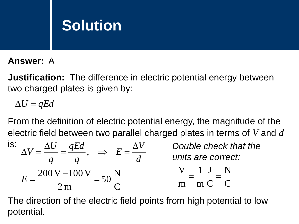#### **Answer:** A

**Justification:** The difference in electric potential energy between two charged plates is given by:

 $\Delta U = qEd$ 

From the definition of electric potential energy, the magnitude of the electric field between two parallel charged plates in terms of *V* and *d*

| IS:<br>aEd<br>$\rightarrow$ | Double check that the<br>units are correct:                       |
|-----------------------------|-------------------------------------------------------------------|
| $200 V - 100 V$             | $\blacksquare$ $\blacksquare$<br>$\mathsf{m}$ ( $\mathsf{C}$<br>m |

The direction of the electric field points from high potential to low potential.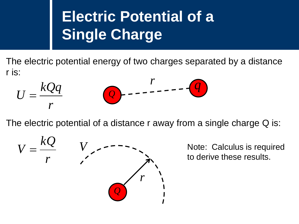## **Electric Potential of a Single Charge**

The electric potential energy of two charges separated by a distance r is:

$$
U = \frac{kQq}{r}
$$

The electric potential of a distance r away from a single charge Q is:



Note: Calculus is required to derive these results.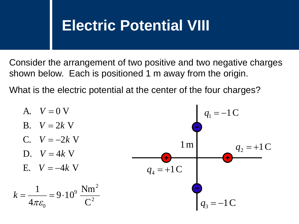#### **Electric Potential VIII**

Consider the arrangement of two positive and two negative charges shown below. Each is positioned 1 m away from the origin.

What is the electric potential at the center of the four charges?

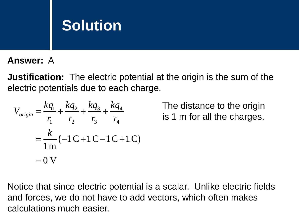**Answer:** A

**Justification:** The electric potential at the origin is the sum of the electric potentials due to each charge.

$$
V_{origin} = \frac{kq_1}{r_1} + \frac{kq_2}{r_2} + \frac{kq_3}{r_3} + \frac{kq_4}{r_4}
$$
  
=  $\frac{k}{1 \text{ m}} (-1 \text{ C} + 1 \text{ C} - 1 \text{ C} + 1 \text{ C})$   
= 0 V

The distance to the origin is 1 m for all the charges.

Notice that since electric potential is a scalar. Unlike electric fields and forces, we do not have to add vectors, which often makes calculations much easier.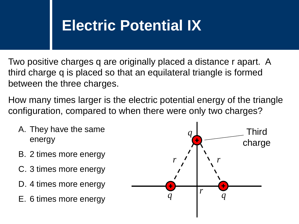### **Electric Potential IX**

Two positive charges q are originally placed a distance r apart. A third charge q is placed so that an equilateral triangle is formed between the three charges.

How many times larger is the electric potential energy of the triangle configuration, compared to when there were only two charges?

- A. They have the same energy
- B. 2 times more energy
- C. 3 times more energy
- D. 4 times more energy
- E. 6 times more energy

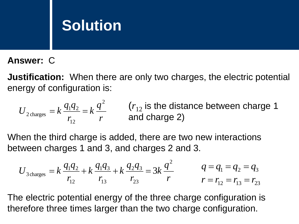#### **Answer:** C

**Justification:** When there are only two charges, the electric potential energy of configuration is:

$$
U_{2\text{ charges}} = k \frac{q_1 q_2}{r_{12}} = k \frac{q^2}{r}
$$
 (*r*<sub>12</sub> is the distance between charge 1 and charge 2)

When the third charge is added, there are two new interactions between charges 1 and 3, and charges 2 and 3.

$$
U_{3 \text{ charges}} = k \frac{q_1 q_2}{r_{12}} + k \frac{q_1 q_3}{r_{13}} + k \frac{q_2 q_3}{r_{23}} = 3k \frac{q^2}{r} \qquad q = q_1 = q_2 = q_3
$$
  

$$
r = r_{12} = r_{13} = r_{23}
$$

The electric potential energy of the three charge configuration is therefore three times larger than the two charge configuration.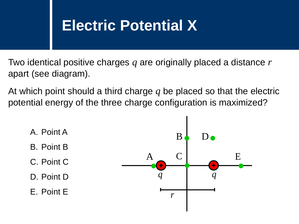#### **Electric Potential X**

Two identical positive charges *q* are originally placed a distance *r* apart (see diagram).

At which point should a third charge *q* be placed so that the electric potential energy of the three charge configuration is maximized?